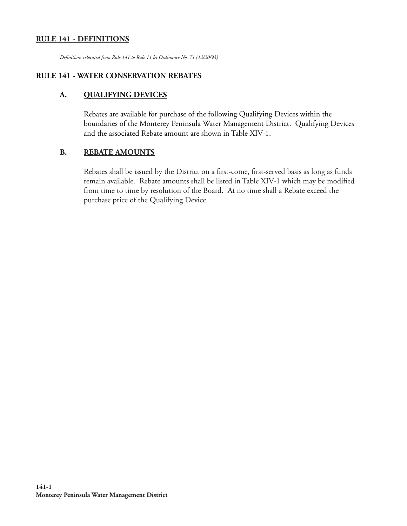### **RULE 141 - DEFINITIONS**

*Defi nitions relocated from Rule 141 to Rule 11 by Ordinance No. 71 (12/20/93)*

#### **RULE 141 - WATER CONSERVATION REBATES**

#### **A. QUALIFYING DEVICES**

Rebates are available for purchase of the following Qualifying Devices within the boundaries of the Monterey Peninsula Water Management District. Qualifying Devices and the associated Rebate amount are shown in Table XIV-1.

#### **B. REBATE AMOUNTS**

Rebates shall be issued by the District on a first-come, first-served basis as long as funds remain available. Rebate amounts shall be listed in Table XIV-1 which may be modified from time to time by resolution of the Board. At no time shall a Rebate exceed the purchase price of the Qualifying Device.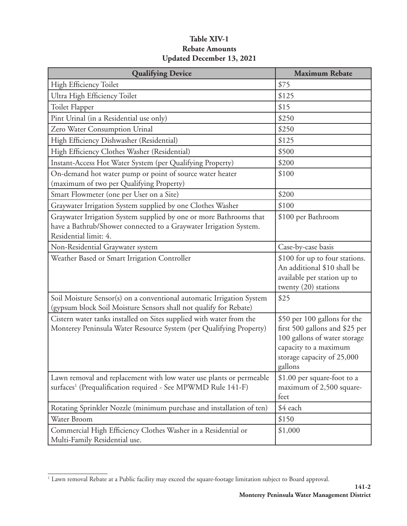### **Table XIV-1 Rebate Amounts Updated December 13, 2021**

| <b>Qualifying Device</b>                                                                                                                                         | <b>Maximum Rebate</b>                                                                                                                                            |
|------------------------------------------------------------------------------------------------------------------------------------------------------------------|------------------------------------------------------------------------------------------------------------------------------------------------------------------|
| High Efficiency Toilet                                                                                                                                           | \$75                                                                                                                                                             |
| Ultra High Efficiency Toilet                                                                                                                                     | \$125                                                                                                                                                            |
| Toilet Flapper                                                                                                                                                   | \$15                                                                                                                                                             |
| Pint Urinal (in a Residential use only)                                                                                                                          | \$250                                                                                                                                                            |
| Zero Water Consumption Urinal                                                                                                                                    | \$250                                                                                                                                                            |
| High Efficiency Dishwasher (Residential)                                                                                                                         | \$125                                                                                                                                                            |
| High Efficiency Clothes Washer (Residential)                                                                                                                     | \$500                                                                                                                                                            |
| Instant-Access Hot Water System (per Qualifying Property)                                                                                                        | \$200                                                                                                                                                            |
| On-demand hot water pump or point of source water heater<br>(maximum of two per Qualifying Property)                                                             | \$100                                                                                                                                                            |
| Smart Flowmeter (one per User on a Site)                                                                                                                         | \$200                                                                                                                                                            |
| Graywater Irrigation System supplied by one Clothes Washer                                                                                                       | \$100                                                                                                                                                            |
| Graywater Irrigation System supplied by one or more Bathrooms that<br>have a Bathtub/Shower connected to a Graywater Irrigation System.<br>Residential limit: 4. | \$100 per Bathroom                                                                                                                                               |
| Non-Residential Graywater system                                                                                                                                 | Case-by-case basis                                                                                                                                               |
| Weather Based or Smart Irrigation Controller                                                                                                                     | \$100 for up to four stations.<br>An additional \$10 shall be<br>available per station up to<br>twenty $(20)$ stations                                           |
| Soil Moisture Sensor(s) on a conventional automatic Irrigation System<br>(gypsum block Soil Moisture Sensors shall not qualify for Rebate)                       | \$25                                                                                                                                                             |
| Cistern water tanks installed on Sites supplied with water from the<br>Monterey Peninsula Water Resource System (per Qualifying Property)                        | \$50 per 100 gallons for the<br>first 500 gallons and \$25 per<br>100 gallons of water storage<br>capacity to a maximum<br>storage capacity of 25,000<br>gallons |
| Lawn removal and replacement with low water use plants or permeable<br>surfaces <sup>1</sup> (Prequalification required - See MPWMD Rule 141-F)                  | \$1.00 per square-foot to a<br>maximum of 2,500 square-<br>feet                                                                                                  |
| Rotating Sprinkler Nozzle (minimum purchase and installation of ten)                                                                                             | \$4 each                                                                                                                                                         |
| Water Broom                                                                                                                                                      | \$150                                                                                                                                                            |
| Commercial High Efficiency Clothes Washer in a Residential or<br>Multi-Family Residential use.                                                                   | \$1,000                                                                                                                                                          |

**\_\_\_\_\_\_\_\_\_\_\_\_\_\_\_** 1 Lawn removal Rebate at a Public facility may exceed the square-footage limitation subject to Board approval.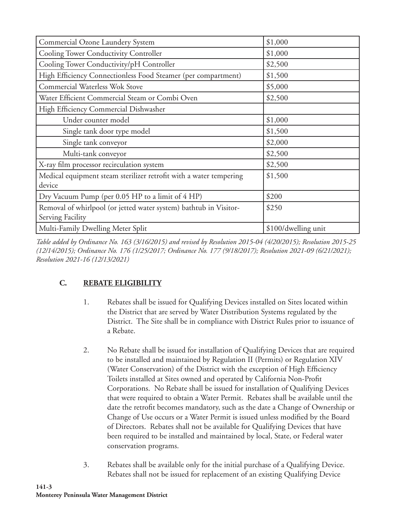| Commercial Ozone Laundery System                                                      | \$1,000             |
|---------------------------------------------------------------------------------------|---------------------|
| Cooling Tower Conductivity Controller                                                 | \$1,000             |
| Cooling Tower Conductivity/pH Controller                                              | \$2,500             |
| High Efficiency Connectionless Food Steamer (per compartment)                         | \$1,500             |
| <b>Commercial Waterless Wok Stove</b>                                                 | \$5,000             |
| Water Efficient Commercial Steam or Combi Oven                                        | \$2,500             |
| High Efficiency Commercial Dishwasher                                                 |                     |
| Under counter model                                                                   | \$1,000             |
| Single tank door type model                                                           | \$1,500             |
| Single tank conveyor                                                                  | \$2,000             |
| Multi-tank conveyor                                                                   | \$2,500             |
| X-ray film processor recirculation system                                             | \$2,500             |
| Medical equipment steam sterilizer retrofit with a water tempering                    | \$1,500             |
| device                                                                                |                     |
| Dry Vacuum Pump (per 0.05 HP to a limit of 4 HP)                                      | \$200               |
| Removal of whirlpool (or jetted water system) bathtub in Visitor-<br>Serving Facility | \$250               |
| Multi-Family Dwelling Meter Split                                                     | \$100/dwelling unit |

*Table added by Ordinance No. 163 (3/16/2015) and revised by Resolution 2015-04 (4/20/2015); Resolution 2015-25 (12/14/2015); Ordinance No. 176 (1/25/2017; Ordinance No. 177 (9/18/2017); Resolution 2021-09 (6/21/2021); Resolution 2021-16 (12/13/2021)*

# **C. REBATE ELIGIBILITY**

- 1. Rebates shall be issued for Qualifying Devices installed on Sites located within the District that are served by Water Distribution Systems regulated by the District. The Site shall be in compliance with District Rules prior to issuance of a Rebate.
- 2. No Rebate shall be issued for installation of Qualifying Devices that are required to be installed and maintained by Regulation II (Permits) or Regulation XIV (Water Conservation) of the District with the exception of High Efficiency Toilets installed at Sites owned and operated by California Non-Profit Corporations. No Rebate shall be issued for installation of Qualifying Devices that were required to obtain a Water Permit. Rebates shall be available until the date the retrofit becomes mandatory, such as the date a Change of Ownership or Change of Use occurs or a Water Permit is issued unless modified by the Board of Directors. Rebates shall not be available for Qualifying Devices that have been required to be installed and maintained by local, State, or Federal water conservation programs.
- 3. Rebates shall be available only for the initial purchase of a Qualifying Device. Rebates shall not be issued for replacement of an existing Qualifying Device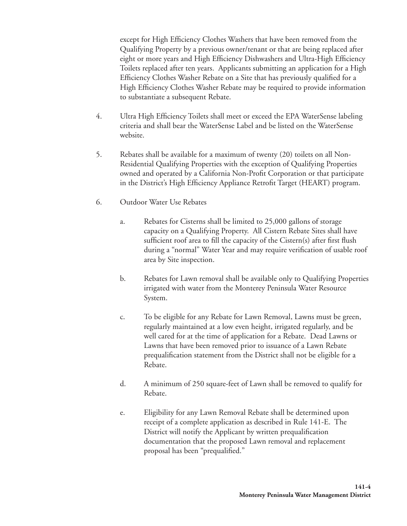except for High Efficiency Clothes Washers that have been removed from the Qualifying Property by a previous owner/tenant or that are being replaced after eight or more years and High Efficiency Dishwashers and Ultra-High Efficiency Toilets replaced after ten years. Applicants submitting an application for a High Efficiency Clothes Washer Rebate on a Site that has previously qualified for a High Efficiency Clothes Washer Rebate may be required to provide information to substantiate a subsequent Rebate.

- 4. Ultra High Efficiency Toilets shall meet or exceed the EPA WaterSense labeling criteria and shall bear the WaterSense Label and be listed on the WaterSense website.
- 5. Rebates shall be available for a maximum of twenty (20) toilets on all Non-Residential Qualifying Properties with the exception of Qualifying Properties owned and operated by a California Non-Profit Corporation or that participate in the District's High Efficiency Appliance Retrofit Target (HEART) program.
- 6. Outdoor Water Use Rebates
	- a. Rebates for Cisterns shall be limited to 25,000 gallons of storage capacity on a Qualifying Property. All Cistern Rebate Sites shall have sufficient roof area to fill the capacity of the Cistern(s) after first flush during a "normal" Water Year and may require verification of usable roof area by Site inspection.
	- b. Rebates for Lawn removal shall be available only to Qualifying Properties irrigated with water from the Monterey Peninsula Water Resource System.
	- c. To be eligible for any Rebate for Lawn Removal, Lawns must be green, regularly maintained at a low even height, irrigated regularly, and be well cared for at the time of application for a Rebate. Dead Lawns or Lawns that have been removed prior to issuance of a Lawn Rebate prequalification statement from the District shall not be eligible for a Rebate.
	- d. A minimum of 250 square-feet of Lawn shall be removed to qualify for Rebate.
	- e. Eligibility for any Lawn Removal Rebate shall be determined upon receipt of a complete application as described in Rule 141-E. The District will notify the Applicant by written prequalification documentation that the proposed Lawn removal and replacement proposal has been "prequalified."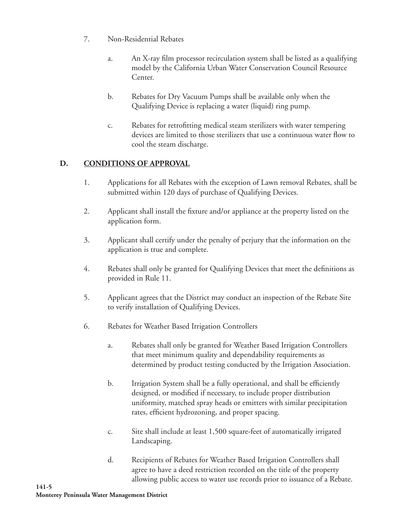- 7. Non-Residential Rebates
	- a. An X-ray film processor recirculation system shall be listed as a qualifying model by the California Urban Water Conservation Council Resource Center.
	- b. Rebates for Dry Vacuum Pumps shall be available only when the Qualifying Device is replacing a water (liquid) ring pump.
	- c. Rebates for retrofitting medical steam sterilizers with water tempering devices are limited to those sterilizers that use a continuous water flow to cool the steam discharge.

### **D. CONDITIONS OF APPROVAL**

- 1. Applications for all Rebates with the exception of Lawn removal Rebates, shall be submitted within 120 days of purchase of Qualifying Devices.
- 2. Applicant shall install the fixture and/or appliance at the property listed on the application form.
- 3. Applicant shall certify under the penalty of perjury that the information on the application is true and complete.
- 4. Rebates shall only be granted for Qualifying Devices that meet the definitions as provided in Rule 11.
- 5. Applicant agrees that the District may conduct an inspection of the Rebate Site to verify installation of Qualifying Devices.
- 6. Rebates for Weather Based Irrigation Controllers
	- a. Rebates shall only be granted for Weather Based Irrigation Controllers that meet minimum quality and dependability requirements as determined by product testing conducted by the Irrigation Association.
	- b. Irrigation System shall be a fully operational, and shall be efficiently designed, or modified if necessary, to include proper distribution uniformity, matched spray heads or emitters with similar precipitation rates, efficient hydrozoning, and proper spacing.
	- c. Site shall include at least 1,500 square-feet of automatically irrigated Landscaping.
	- d. Recipients of Rebates for Weather Based Irrigation Controllers shall agree to have a deed restriction recorded on the title of the property allowing public access to water use records prior to issuance of a Rebate.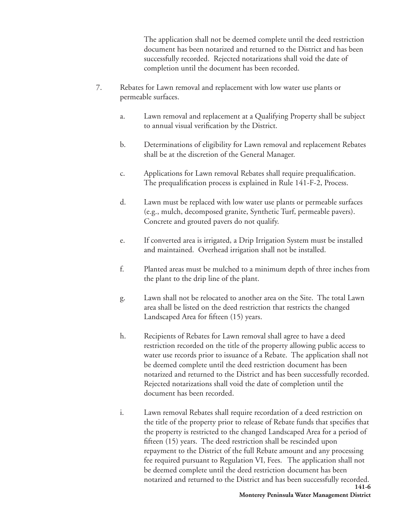The application shall not be deemed complete until the deed restriction document has been notarized and returned to the District and has been successfully recorded. Rejected notarizations shall void the date of completion until the document has been recorded.

- 7. Rebates for Lawn removal and replacement with low water use plants or permeable surfaces.
	- a. Lawn removal and replacement at a Qualifying Property shall be subject to annual visual verification by the District.
	- b. Determinations of eligibility for Lawn removal and replacement Rebates shall be at the discretion of the General Manager.
	- c. Applications for Lawn removal Rebates shall require prequalification. The prequalification process is explained in Rule 141-F-2, Process.
	- d. Lawn must be replaced with low water use plants or permeable surfaces (e.g., mulch, decomposed granite, Synthetic Turf, permeable pavers). Concrete and grouted pavers do not qualify.
	- e. If converted area is irrigated, a Drip Irrigation System must be installed and maintained. Overhead irrigation shall not be installed.
	- f. Planted areas must be mulched to a minimum depth of three inches from the plant to the drip line of the plant.
	- g. Lawn shall not be relocated to another area on the Site. The total Lawn area shall be listed on the deed restriction that restricts the changed Landscaped Area for fifteen (15) years.
	- h. Recipients of Rebates for Lawn removal shall agree to have a deed restriction recorded on the title of the property allowing public access to water use records prior to issuance of a Rebate. The application shall not be deemed complete until the deed restriction document has been notarized and returned to the District and has been successfully recorded. Rejected notarizations shall void the date of completion until the document has been recorded.
	- **141-6** i. Lawn removal Rebates shall require recordation of a deed restriction on the title of the property prior to release of Rebate funds that specifies that the property is restricted to the changed Landscaped Area for a period of fifteen (15) years. The deed restriction shall be rescinded upon repayment to the District of the full Rebate amount and any processing fee required pursuant to Regulation VI, Fees. The application shall not be deemed complete until the deed restriction document has been notarized and returned to the District and has been successfully recorded.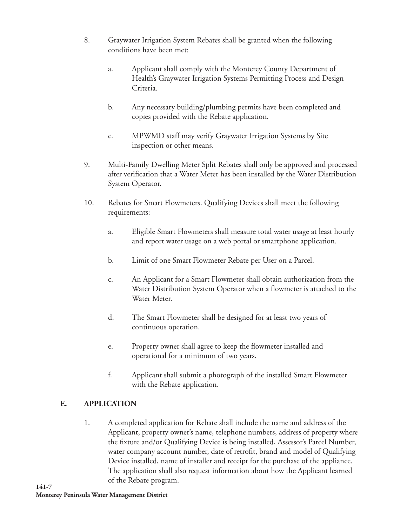- 8. Graywater Irrigation System Rebates shall be granted when the following conditions have been met:
	- a. Applicant shall comply with the Monterey County Department of Health's Graywater Irrigation Systems Permitting Process and Design Criteria.
	- b. Any necessary building/plumbing permits have been completed and copies provided with the Rebate application.
	- c. MPWMD staff may verify Graywater Irrigation Systems by Site inspection or other means.
- 9. Multi-Family Dwelling Meter Split Rebates shall only be approved and processed after verification that a Water Meter has been installed by the Water Distribution System Operator.
- 10. Rebates for Smart Flowmeters. Qualifying Devices shall meet the following requirements:
	- a. Eligible Smart Flowmeters shall measure total water usage at least hourly and report water usage on a web portal or smartphone application.
	- b. Limit of one Smart Flowmeter Rebate per User on a Parcel.
	- c. An Applicant for a Smart Flowmeter shall obtain authorization from the Water Distribution System Operator when a flowmeter is attached to the Water Meter.
	- d. The Smart Flowmeter shall be designed for at least two years of continuous operation.
	- e. Property owner shall agree to keep the flowmeter installed and operational for a minimum of two years.
	- f. Applicant shall submit a photograph of the installed Smart Flowmeter with the Rebate application.

## **E. APPLICATION**

1. A completed application for Rebate shall include the name and address of the Applicant, property owner's name, telephone numbers, address of property where the fixture and/or Qualifying Device is being installed, Assessor's Parcel Number, water company account number, date of retrofit, brand and model of Qualifying Device installed, name of installer and receipt for the purchase of the appliance. The application shall also request information about how the Applicant learned of the Rebate program.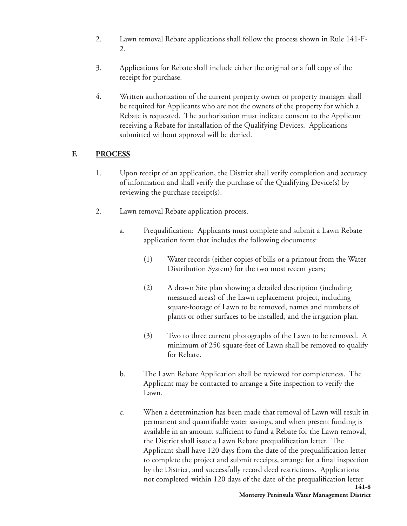- 2. Lawn removal Rebate applications shall follow the process shown in Rule 141-F-2.
- 3. Applications for Rebate shall include either the original or a full copy of the receipt for purchase.
- 4. Written authorization of the current property owner or property manager shall be required for Applicants who are not the owners of the property for which a Rebate is requested. The authorization must indicate consent to the Applicant receiving a Rebate for installation of the Qualifying Devices. Applications submitted without approval will be denied.

### **F. PROCESS**

- 1. Upon receipt of an application, the District shall verify completion and accuracy of information and shall verify the purchase of the Qualifying Device(s) by reviewing the purchase receipt(s).
- 2. Lawn removal Rebate application process.
	- a. Prequalification: Applicants must complete and submit a Lawn Rebate application form that includes the following documents:
		- (1) Water records (either copies of bills or a printout from the Water Distribution System) for the two most recent years;
		- (2) A drawn Site plan showing a detailed description (including measured areas) of the Lawn replacement project, including square-footage of Lawn to be removed, names and numbers of plants or other surfaces to be installed, and the irrigation plan.
		- (3) Two to three current photographs of the Lawn to be removed. A minimum of 250 square-feet of Lawn shall be removed to qualify for Rebate.
	- b. The Lawn Rebate Application shall be reviewed for completeness. The Applicant may be contacted to arrange a Site inspection to verify the Lawn.
	- **141-8** c. When a determination has been made that removal of Lawn will result in permanent and quantifiable water savings, and when present funding is available in an amount sufficient to fund a Rebate for the Lawn removal, the District shall issue a Lawn Rebate prequalification letter. The Applicant shall have 120 days from the date of the prequalification letter to complete the project and submit receipts, arrange for a final inspection by the District, and successfully record deed restrictions. Applications not completed within 120 days of the date of the prequalification letter